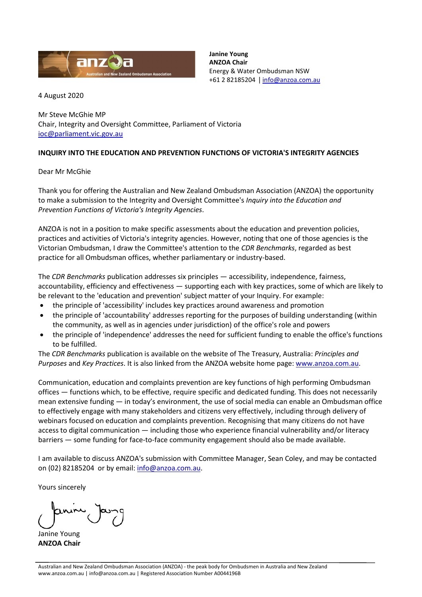

**Janine Young ANZOA Chair** Energy & Water Ombudsman NSW +61 2 82185204 | [info@anzoa.com.au](mailto:info@anzoa.com.au)

4 August 2020

Mr Steve McGhie MP Chair, Integrity and Oversight Committee, Parliament of Victoria [ioc@parliament.vic.gov.au](mailto:ioc@parliament.vic.gov.au)

## **INQUIRY INTO THE EDUCATION AND PREVENTION FUNCTIONS OF VICTORIA'S INTEGRITY AGENCIES**

Dear Mr McGhie

Thank you for offering the Australian and New Zealand Ombudsman Association (ANZOA) the opportunity to make a submission to the Integrity and Oversight Committee's *Inquiry into the Education and Prevention Functions of Victoria's Integrity Agencies*.

ANZOA is not in a position to make specific assessments about the education and prevention policies, practices and activities of Victoria's integrity agencies. However, noting that one of those agencies is the Victorian Ombudsman, I draw the Committee's attention to the *CDR Benchmarks*, regarded as best practice for all Ombudsman offices, whether parliamentary or industry-based.

The *CDR Benchmarks* publication addresses six principles — accessibility, independence, fairness, accountability, efficiency and effectiveness — supporting each with key practices, some of which are likely to be relevant to the 'education and prevention' subject matter of your Inquiry. For example:

- the principle of 'accessibility' includes key practices around awareness and promotion
- the principle of 'accountability' addresses reporting for the purposes of building understanding (within the community, as well as in agencies under jurisdiction) of the office's role and powers
- the principle of 'independence' addresses the need for sufficient funding to enable the office's functions to be fulfilled.

The *CDR Benchmarks* publication is available on the website of The Treasury, Australia: *Principles and Purposes* and *Key Practices*. It is also linked from the ANZOA website home page: [www.anzoa.com.au.](http://www.anzoa.com.au/)

Communication, education and complaints prevention are key functions of high performing Ombudsman offices — functions which, to be effective, require specific and dedicated funding. This does not necessarily mean extensive funding — in today's environment, the use of social media can enable an Ombudsman office to effectively engage with many stakeholders and citizens very effectively, including through delivery of webinars focused on education and complaints prevention. Recognising that many citizens do not have access to digital communication — including those who experience financial vulnerability and/or literacy barriers — some funding for face-to-face community engagement should also be made available.

I am available to discuss ANZOA's submission with Committee Manager, Sean Coley, and may be contacted on (02) 82185204 or by email[: info@anzoa.com.au.](mailto:info@anzoa.com.au)

Yours sincerely

Janine Young **ANZOA Chair**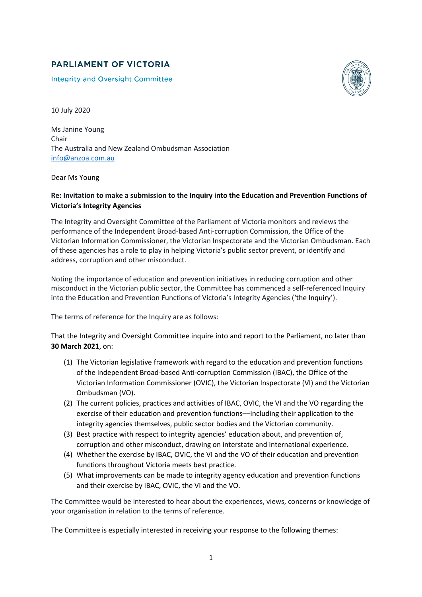## **PARLIAMENT OF VICTORIA**

**Integrity and Oversight Committee** 



10 July 2020

Ms Janine Young Chair The Australia and New Zealand Ombudsman Association info@anzoa.com.au

Dear Ms Young

## **Re: Invitation to make a submission to the Inquiry into the Education and Prevention Functions of Victoria's Integrity Agencies**

The Integrity and Oversight Committee of the Parliament of Victoria monitors and reviews the performance of the Independent Broad-based Anti-corruption Commission, the Office of the Victorian Information Commissioner, the Victorian Inspectorate and the Victorian Ombudsman. Each of these agencies has a role to play in helping Victoria's public sector prevent, or identify and address, corruption and other misconduct.

Noting the importance of education and prevention initiatives in reducing corruption and other misconduct in the Victorian public sector, the Committee has commenced a self-referenced Inquiry into the Education and Prevention Functions of Victoria's Integrity Agencies ('the Inquiry').

The terms of reference for the Inquiry are as follows:

That the Integrity and Oversight Committee inquire into and report to the Parliament, no later than **30 March 2021**, on:

- (1) The Victorian legislative framework with regard to the education and prevention functions of the Independent Broad-based Anti-corruption Commission (IBAC), the Office of the Victorian Information Commissioner (OVIC), the Victorian Inspectorate (VI) and the Victorian Ombudsman (VO).
- (2) The current policies, practices and activities of IBAC, OVIC, the VI and the VO regarding the exercise of their education and prevention functions––including their application to the integrity agencies themselves, public sector bodies and the Victorian community.
- (3) Best practice with respect to integrity agencies' education about, and prevention of, corruption and other misconduct, drawing on interstate and international experience.
- (4) Whether the exercise by IBAC, OVIC, the VI and the VO of their education and prevention functions throughout Victoria meets best practice.
- (5) What improvements can be made to integrity agency education and prevention functions and their exercise by IBAC, OVIC, the VI and the VO.

The Committee would be interested to hear about the experiences, views, concerns or knowledge of your organisation in relation to the terms of reference.

The Committee is especially interested in receiving your response to the following themes: